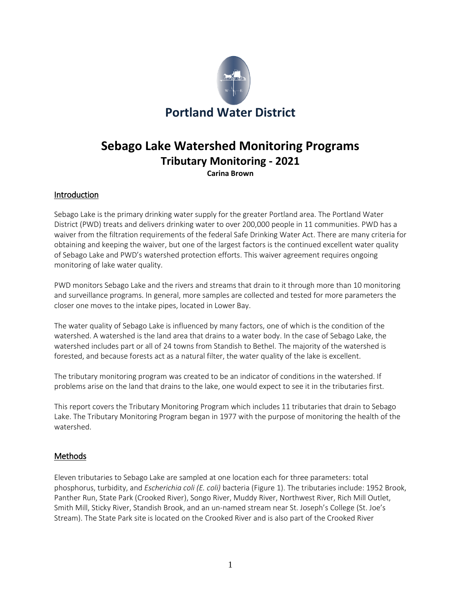

# **Sebago Lake Watershed Monitoring Programs Tributary Monitoring - 2021 Carina Brown**

# Introduction

Sebago Lake is the primary drinking water supply for the greater Portland area. The Portland Water District (PWD) treats and delivers drinking water to over 200,000 people in 11 communities. PWD has a waiver from the filtration requirements of the federal Safe Drinking Water Act. There are many criteria for obtaining and keeping the waiver, but one of the largest factors is the continued excellent water quality of Sebago Lake and PWD's watershed protection efforts. This waiver agreement requires ongoing monitoring of lake water quality.

PWD monitors Sebago Lake and the rivers and streams that drain to it through more than 10 monitoring and surveillance programs. In general, more samples are collected and tested for more parameters the closer one moves to the intake pipes, located in Lower Bay.

The water quality of Sebago Lake is influenced by many factors, one of which is the condition of the watershed. A watershed is the land area that drains to a water body. In the case of Sebago Lake, the watershed includes part or all of 24 towns from Standish to Bethel. The majority of the watershed is forested, and because forests act as a natural filter, the water quality of the lake is excellent.

The tributary monitoring program was created to be an indicator of conditions in the watershed. If problems arise on the land that drains to the lake, one would expect to see it in the tributaries first.

This report covers the Tributary Monitoring Program which includes 11 tributaries that drain to Sebago Lake. The Tributary Monitoring Program began in 1977 with the purpose of monitoring the health of the watershed.

#### **Methods**

Eleven tributaries to Sebago Lake are sampled at one location each for three parameters: total phosphorus, turbidity, and *Escherichia coli (E. coli)* bacteria (Figure 1). The tributaries include: 1952 Brook, Panther Run, State Park (Crooked River), Songo River, Muddy River, Northwest River, Rich Mill Outlet, Smith Mill, Sticky River, Standish Brook, and an un-named stream near St. Joseph's College (St. Joe's Stream). The State Park site is located on the Crooked River and is also part of the Crooked River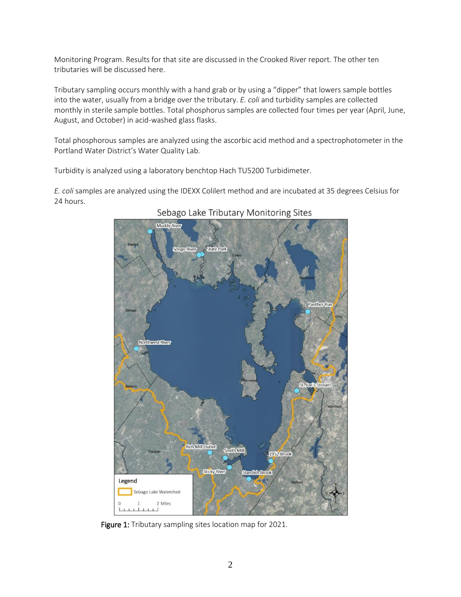Monitoring Program. Results for that site are discussed in the Crooked River report. The other ten tributaries will be discussed here.

Tributary sampling occurs monthly with a hand grab or by using a "dipper" that lowers sample bottles into the water, usually from a bridge over the tributary. *E. coli* and turbidity samples are collected monthly in sterile sample bottles. Total phosphorus samples are collected four times per year (April, June, August, and October) in acid-washed glass flasks.

Total phosphorous samples are analyzed using the ascorbic acid method and a spectrophotometer in the Portland Water District's Water Quality Lab.

Turbidity is analyzed using a laboratory benchtop Hach TU5200 Turbidimeter.

*E. coli* samples are analyzed using the IDEXX Colilert method and are incubated at 35 degrees Celsius for 24 hours.



# Sebago Lake Tributary Monitoring Sites

Figure 1: Tributary sampling sites location map for 2021.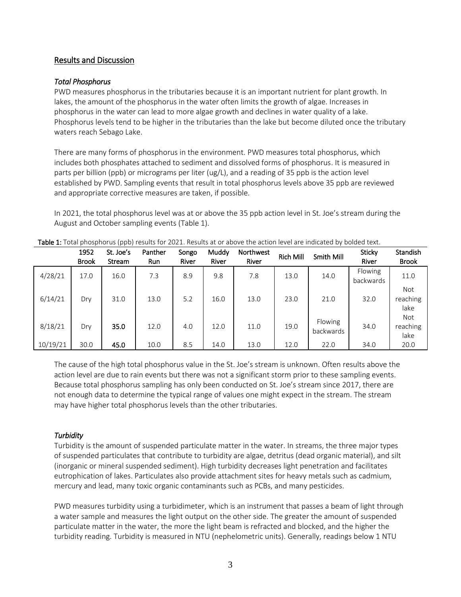### Results and Discussion

#### *Total Phosphorus*

PWD measures phosphorus in the tributaries because it is an important nutrient for plant growth. In lakes, the amount of the phosphorus in the water often limits the growth of algae. Increases in phosphorus in the water can lead to more algae growth and declines in water quality of a lake. Phosphorus levels tend to be higher in the tributaries than the lake but become diluted once the tributary waters reach Sebago Lake.

There are many forms of phosphorus in the environment. PWD measures total phosphorus, which includes both phosphates attached to sediment and dissolved forms of phosphorus. It is measured in parts per billion (ppb) or micrograms per liter (ug/L), and a reading of 35 ppb is the action level established by PWD. Sampling events that result in total phosphorus levels above 35 ppb are reviewed and appropriate corrective measures are taken, if possible.

In 2021, the total phosphorus level was at or above the 35 ppb action level in St. Joe's stream during the August and October sampling events (Table 1).

|          | 1952<br><b>Brook</b> | St. Joe's<br>Stream | Panther<br>Run | Songo<br>River | Muddy<br>River | Northwest<br>River | <b>Rich Mill</b> | Smith Mill           | <b>Sticky</b><br>River | <b>Standish</b><br><b>Brook</b> |
|----------|----------------------|---------------------|----------------|----------------|----------------|--------------------|------------------|----------------------|------------------------|---------------------------------|
| 4/28/21  | 17.0                 | 16.0                | 7.3            | 8.9            | 9.8            | 7.8                | 13.0             | 14.0                 | Flowing<br>backwards   | 11.0                            |
| 6/14/21  | Dry                  | 31.0                | 13.0           | 5.2            | 16.0           | 13.0               | 23.0             | 21.0                 | 32.0                   | <b>Not</b><br>reaching<br>lake  |
| 8/18/21  | Dry                  | 35.0                | 12.0           | 4.0            | 12.0           | 11.0               | 19.0             | Flowing<br>backwards | 34.0                   | Not<br>reaching<br>lake         |
| 10/19/21 | 30.0                 | 45.0                | 10.0           | 8.5            | 14.0           | 13.0               | 12.0             | 22.0                 | 34.0                   | 20.0                            |

Table 1: Total phosphorus (ppb) results for 2021. Results at or above the action level are indicated by bolded text.

The cause of the high total phosphorus value in the St. Joe's stream is unknown. Often results above the action level are due to rain events but there was not a significant storm prior to these sampling events. Because total phosphorus sampling has only been conducted on St. Joe's stream since 2017, there are not enough data to determine the typical range of values one might expect in the stream. The stream may have higher total phosphorus levels than the other tributaries.

#### *Turbidity*

Turbidity is the amount of suspended particulate matter in the water. In streams, the three major types of suspended particulates that contribute to turbidity are algae, detritus (dead organic material), and silt (inorganic or mineral suspended sediment). High turbidity decreases light penetration and facilitates eutrophication of lakes. Particulates also provide attachment sites for heavy metals such as cadmium, mercury and lead, many toxic organic contaminants such as PCBs, and many pesticides.

PWD measures turbidity using a turbidimeter, which is an instrument that passes a beam of light through a water sample and measures the light output on the other side. The greater the amount of suspended particulate matter in the water, the more the light beam is refracted and blocked, and the higher the turbidity reading. Turbidity is measured in NTU (nephelometric units). Generally, readings below 1 NTU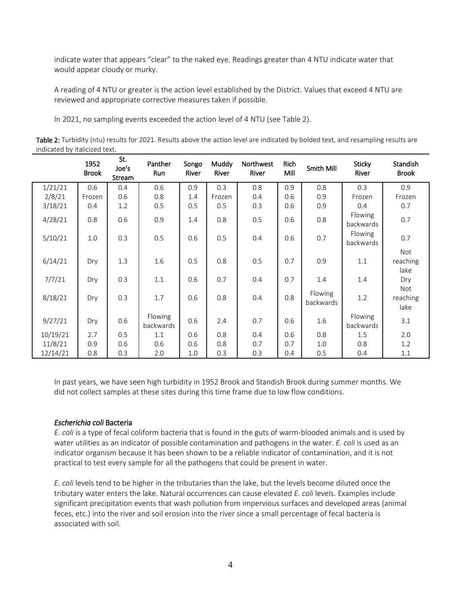indicate water that appears "clear" to the naked eye. Readings greater than 4 NTU indicate water that would appear cloudy or murky.

A reading of 4 NTU or greater is the action level established by the District. Values that exceed 4 NTU are reviewed and appropriate corrective measures taken if possible.

In 2021, no sampling events exceeded the action level of 4 NTU (see Table 2).

Table 2: Turbidity (ntu) results for 2021. Results above the action level are indicated by bolded text, and resampling results are indicated by italicized text.

|          | 1952<br><b>Brook</b> | St.<br>Joe's<br>Stream | Panther<br>Run       | Songo<br>River | Muddy<br>River | Northwest<br>River | Rich<br>Mill | Smith Mill           | Sticky<br>River             | Standish<br><b>Brook</b>       |
|----------|----------------------|------------------------|----------------------|----------------|----------------|--------------------|--------------|----------------------|-----------------------------|--------------------------------|
| 1/21/21  | 0.6                  | 0.4                    | 0.6                  | 0.9            | 0.3            | 0.8                | 0.9          | 0.8                  | 0.3                         | 0.9                            |
| 2/8/21   | Frozen               | 0.6                    | 0.8                  | 1.4            | Frozen         | 0.4                | 0.6          | 0.9                  | Frozen                      | Frozen                         |
| 3/18/21  | 0.4                  | 1.2                    | 0.5                  | 0.5            | 0.5            | 0.3                | 0.6          | 0.9                  | 0.4                         | 0.7                            |
| 4/28/21  | 0.8                  | 0.6                    | 0.9                  | 1.4            | 0.8            | 0.5                | 0.6          | 0.8                  | Flowing<br>backwards        | 0.7                            |
| 5/10/21  | 1.0                  | 0.3                    | 0.5                  | 0.6            | 0.5            | 0.4                | 0.6          | 0.7                  | <b>Flowing</b><br>backwards | 0.7                            |
| 6/14/21  | Dry                  | 1.3                    | 1.6                  | 0.5            | 0.8            | 0.5                | 0.7          | 0.9                  | 1.1                         | Not<br>reaching<br>lake        |
| 7/7/21   | Dry                  | 0.3                    | 1.1                  | 0.6            | 0.7            | 0.4                | 0.7          | 1.4                  | 1.4                         | Dry                            |
| 8/18/21  | Dry                  | 0.3                    | 1.7                  | 0.6            | 0.8            | 0.4                | 0.8          | Flowing<br>backwards | 1.2                         | <b>Not</b><br>reaching<br>lake |
| 9/27/21  | Dry                  | 0.6                    | Flowing<br>backwards | 0.6            | 2.4            | 0.7                | 0.6          | 1.6                  | Flowing<br>backwards        | 3.1                            |
| 10/19/21 | 2.7                  | 0.5                    | 1.1                  | 0.6            | 0.8            | 0.4                | 0.6          | 0.8                  | 1.5                         | 2.0                            |
| 11/8/21  | 0.9                  | 0.6                    | 0.6                  | 0.6            | 0.8            | 0.7                | 0.7          | 1.0                  | 0.8                         | 1.2                            |
| 12/14/21 | 0.8                  | 0.3                    | 2.0                  | 1.0            | 0.3            | 0.3                | 0.4          | 0.5                  | 0.4                         | 1.1                            |

In past years, we have seen high turbidity in 1952 Brook and Standish Brook during summer months. We did not collect samples at these sites during this time frame due to low flow conditions.

#### *Escherichia coli* Bacteria

*E. coli* is a type of fecal coliform bacteria that is found in the guts of warm-blooded animals and is used by water utilities as an indicator of possible contamination and pathogens in the water. *E. coli* is used as an indicator organism because it has been shown to be a reliable indicator of contamination, and it is not practical to test every sample for all the pathogens that could be present in water.

*E. coli* levels tend to be higher in the tributaries than the lake, but the levels become diluted once the tributary water enters the lake. Natural occurrences can cause elevated *E. coli* levels. Examples include significant precipitation events that wash pollution from impervious surfaces and developed areas (animal feces, etc.) into the river and soil erosion into the river since a small percentage of fecal bacteria is associated with soil.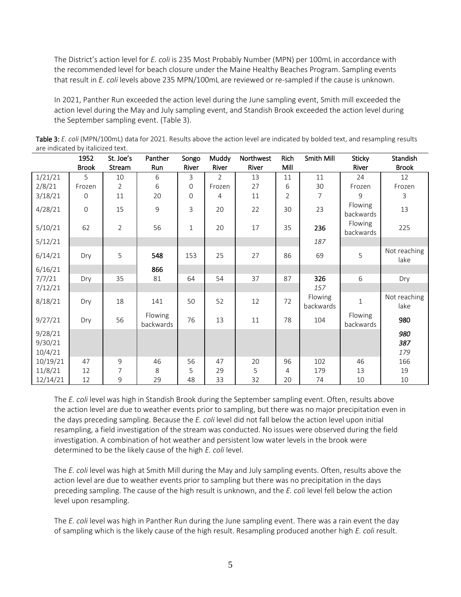The District's action level for *E. coli* is 235 Most Probably Number (MPN) per 100mL in accordance with the recommended level for beach closure under the Maine Healthy Beaches Program. Sampling events that result in *E. coli* levels above 235 MPN/100mL are reviewed or re-sampled if the cause is unknown.

In 2021, Panther Run exceeded the action level during the June sampling event, Smith mill exceeded the action level during the May and July sampling event, and Standish Brook exceeded the action level during the September sampling event. (Table 3).

|                    | 1952           | St. Joe's      | Panther              | Songo        | Muddy          | Northwest | Rich           | Smith Mill           | Sticky                      | Standish             |
|--------------------|----------------|----------------|----------------------|--------------|----------------|-----------|----------------|----------------------|-----------------------------|----------------------|
|                    | <b>Brook</b>   | Stream         | Run                  | River        | River          | River     | Mill           |                      | River                       | <b>Brook</b>         |
| 1/21/21            | 5              | 10             | 6                    | 3            | $\overline{2}$ | 13        | 11             | 11                   | 24                          | 12                   |
| 2/8/21             | Frozen         | 2              | 6                    | $\mathbf 0$  | Frozen         | 27        | 6              | 30                   | Frozen                      | Frozen               |
| 3/18/21            | $\mathbf 0$    | 11             | 20                   | $\mathbf 0$  | 4              | 11        | $\overline{2}$ | 7                    | 9                           | 3                    |
| 4/28/21            | $\overline{0}$ | 15             | 9                    | 3            | 20             | 22        | 30             | 23                   | <b>Flowing</b><br>backwards | 13                   |
| 5/10/21            | 62             | $\overline{2}$ | 56                   | $\mathbf{1}$ | 20             | 17        | 35             | 236                  | Flowing<br>backwards        | 225                  |
| 5/12/21            |                |                |                      |              |                |           |                | 187                  |                             |                      |
| 6/14/21            | Dry            | 5              | 548                  | 153          | 25             | 27        | 86             | 69                   | 5                           | Not reaching<br>lake |
| 6/16/21            |                |                | 866                  |              |                |           |                |                      |                             |                      |
| 7/7/21             | Dry            | 35             | 81                   | 64           | 54             | 37        | 87             | 326                  | 6                           | Dry                  |
| 7/12/21            |                |                |                      |              |                |           |                | 157                  |                             |                      |
| 8/18/21            | Dry            | 18             | 141                  | 50           | 52             | 12        | 72             | Flowing<br>backwards | $\mathbf{1}$                | Not reaching<br>lake |
| 9/27/21            | Dry            | 56             | Flowing<br>backwards | 76           | 13             | 11        | 78             | 104                  | Flowing<br>backwards        | 980                  |
| 9/28/21<br>9/30/21 |                |                |                      |              |                |           |                |                      |                             | 980<br>387           |
| 10/4/21            |                |                |                      |              |                |           |                |                      |                             | 179                  |
| 10/19/21           | 47             | 9              | 46                   | 56           | 47             | 20        | 96             | 102                  | 46                          | 166                  |
| 11/8/21            | 12             | 7              | 8                    | 5            | 29             | 5         | 4              | 179                  | 13                          | 19                   |
| 12/14/21           | 12             | 9              | 29                   | 48           | 33             | 32        | 20             | 74                   | $10\,$                      | 10                   |

Table 3: *E. coli* (MPN/100mL) data for 2021. Results above the action level are indicated by bolded text, and resampling results are indicated by italicized text.

The *E. coli* level was high in Standish Brook during the September sampling event. Often, results above the action level are due to weather events prior to sampling, but there was no major precipitation even in the days preceding sampling. Because the *E. coli* level did not fall below the action level upon initial resampling, a field investigation of the stream was conducted. No issues were observed during the field investigation. A combination of hot weather and persistent low water levels in the brook were determined to be the likely cause of the high *E. coli* level.

The *E. coli* level was high at Smith Mill during the May and July sampling events. Often, results above the action level are due to weather events prior to sampling but there was no precipitation in the days preceding sampling. The cause of the high result is unknown, and the *E. coli* level fell below the action level upon resampling.

The *E. coli* level was high in Panther Run during the June sampling event. There was a rain event the day of sampling which is the likely cause of the high result. Resampling produced another high *E. coli* result.